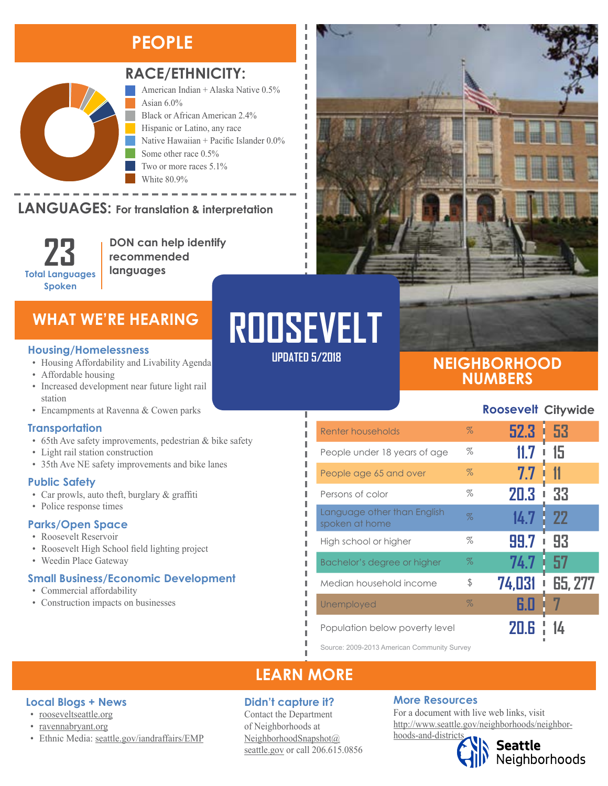# **PEOPLE**



## **RACE/ETHNICITY:**

American Indian + Alaska Native 0.5% Asian  $6.0\%$ Black or African American 2.4% Hispanic or Latino, any race Native Hawaiian + Pacific Islander 0.0% Some other race 0.5% Two or more races 5.1% White 80.9%

# LANGUAGES: For translation & interpretation

**23 Total Languages Spoken**

**DON can help identify recommended languages**

#### **Housing/Homelessness**

- Housing Affordability and Livability Agenda
- Affordable housing
- Increased development near future light rail station
- Encampments at Ravenna & Cowen parks

### **Transportation**

- 65th Ave safety improvements, pedestrian & bike safety
- Light rail station construction
- 35th Ave NE safety improvements and bike lanes

### **Public Safety**

- Car prowls, auto theft, burglary & graffiti
- Police response times

#### **Parks/Open Space**

- Roosevelt Reservoir
- Roosevelt High School field lighting project

• Ethnic Media: [seattle.gov/iandraffairs/EMP](http://www.seattle.gov/iandraffairs/EMP)

• Weedin Place Gateway

### **Small Business/Economic Development**

• Commercial affordability

**Local Blogs + News** • [rooseveltseattle.org](http://rooseveltseattle.org/) • [ravennabryant.org](http://www.ravennabryant.org/)

• Construction impacts on businesses

# WHAT WE'RE HEARING**ERT ROOSEVELT UPDATED 5/2018**

I I л л

п П I

Л л I I л п I Ī I

## **NEIGHBORHOOD NUMBERS**

**Roosevelt Citywide**

| Renter households                             | $\%$ | 52.3   | 53<br>I   |
|-----------------------------------------------|------|--------|-----------|
| People under 18 years of age                  | %    |        | 15        |
| People age 65 and over                        | $\%$ | 7.7    |           |
| Persons of color                              | %    | 20.3   | 33        |
| Language other than English<br>spoken at home | $\%$ | 14.7   | <b>22</b> |
| High school or higher                         | %    | 99.7   | 93        |
| Bachelor's degree or higher                   | $\%$ | 74.7   | 57        |
| Median household income                       | \$   | 74,031 | 65, 277   |
| Unemployed                                    | $\%$ | 6.0    |           |
| Population helow poverty level                |      |        |           |

Source: 2009-2013 American Community Survey

## **LEARN MORE**

### **Didn't capture it?**

Contact the Department of Neighborhoods at [NeighborhoodSnapshot@](mailto:NeighborhoodSnapshot%40%0Aseattle.gov?subject=) [seattle.gov](mailto:NeighborhoodSnapshot%40%0Aseattle.gov?subject=) or call 206.615.0856

### **More Resources**

For a document with live web links, visit [http://www.seattle.gov/neighborhoods/neighbor](http://www.seattle.gov/neighborhoods/neighborhoods-and-districts)[hoods-and-districts](http://www.seattle.gov/neighborhoods/neighborhoods-and-districts)

Seattle<br>Neighborhoods